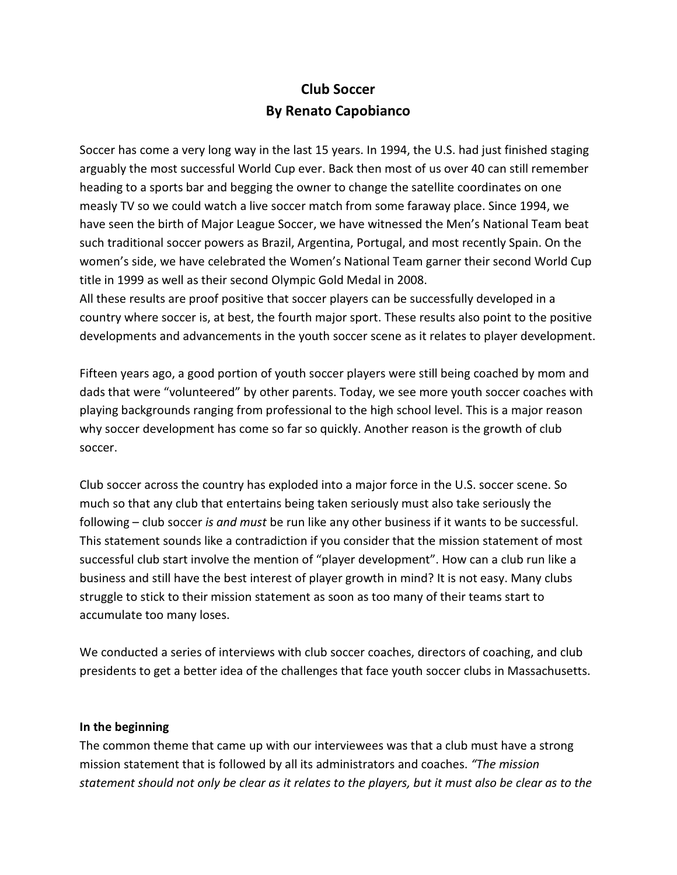# Club Soccer By Renato Capobianco

Soccer has come a very long way in the last 15 years. In 1994, the U.S. had just finished staging arguably the most successful World Cup ever. Back then most of us over 40 can still remember heading to a sports bar and begging the owner to change the satellite coordinates on one measly TV so we could watch a live soccer match from some faraway place. Since 1994, we have seen the birth of Major League Soccer, we have witnessed the Men's National Team beat such traditional soccer powers as Brazil, Argentina, Portugal, and most recently Spain. On the women's side, we have celebrated the Women's National Team garner their second World Cup title in 1999 as well as their second Olympic Gold Medal in 2008.

All these results are proof positive that soccer players can be successfully developed in a country where soccer is, at best, the fourth major sport. These results also point to the positive developments and advancements in the youth soccer scene as it relates to player development.

Fifteen years ago, a good portion of youth soccer players were still being coached by mom and dads that were "volunteered" by other parents. Today, we see more youth soccer coaches with playing backgrounds ranging from professional to the high school level. This is a major reason why soccer development has come so far so quickly. Another reason is the growth of club soccer.

Club soccer across the country has exploded into a major force in the U.S. soccer scene. So much so that any club that entertains being taken seriously must also take seriously the following – club soccer is and must be run like any other business if it wants to be successful. This statement sounds like a contradiction if you consider that the mission statement of most successful club start involve the mention of "player development". How can a club run like a business and still have the best interest of player growth in mind? It is not easy. Many clubs struggle to stick to their mission statement as soon as too many of their teams start to accumulate too many loses.

We conducted a series of interviews with club soccer coaches, directors of coaching, and club presidents to get a better idea of the challenges that face youth soccer clubs in Massachusetts.

#### In the beginning

The common theme that came up with our interviewees was that a club must have a strong mission statement that is followed by all its administrators and coaches. "The mission statement should not only be clear as it relates to the players, but it must also be clear as to the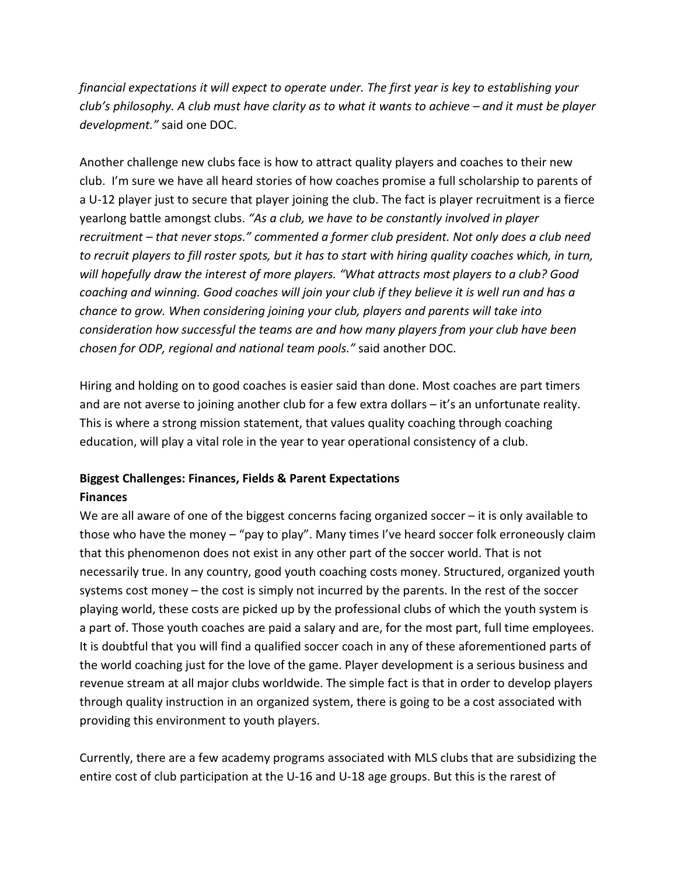financial expectations it will expect to operate under. The first year is key to establishing your club's philosophy. A club must have clarity as to what it wants to achieve – and it must be player development." said one DOC.

Another challenge new clubs face is how to attract quality players and coaches to their new club. I'm sure we have all heard stories of how coaches promise a full scholarship to parents of a U-12 player just to secure that player joining the club. The fact is player recruitment is a fierce yearlong battle amongst clubs. "As a club, we have to be constantly involved in player recruitment – that never stops." commented a former club president. Not only does a club need to recruit players to fill roster spots, but it has to start with hiring quality coaches which, in turn, will hopefully draw the interest of more players. "What attracts most players to a club? Good coaching and winning. Good coaches will join your club if they believe it is well run and has a chance to grow. When considering joining your club, players and parents will take into consideration how successful the teams are and how many players from your club have been chosen for ODP, regional and national team pools." said another DOC.

Hiring and holding on to good coaches is easier said than done. Most coaches are part timers and are not averse to joining another club for a few extra dollars – it's an unfortunate reality. This is where a strong mission statement, that values quality coaching through coaching education, will play a vital role in the year to year operational consistency of a club.

# Biggest Challenges: Finances, Fields & Parent Expectations **Finances**

We are all aware of one of the biggest concerns facing organized soccer  $-$  it is only available to those who have the money – "pay to play". Many times I've heard soccer folk erroneously claim that this phenomenon does not exist in any other part of the soccer world. That is not necessarily true. In any country, good youth coaching costs money. Structured, organized youth systems cost money – the cost is simply not incurred by the parents. In the rest of the soccer playing world, these costs are picked up by the professional clubs of which the youth system is a part of. Those youth coaches are paid a salary and are, for the most part, full time employees. It is doubtful that you will find a qualified soccer coach in any of these aforementioned parts of the world coaching just for the love of the game. Player development is a serious business and revenue stream at all major clubs worldwide. The simple fact is that in order to develop players through quality instruction in an organized system, there is going to be a cost associated with providing this environment to youth players.

Currently, there are a few academy programs associated with MLS clubs that are subsidizing the entire cost of club participation at the U-16 and U-18 age groups. But this is the rarest of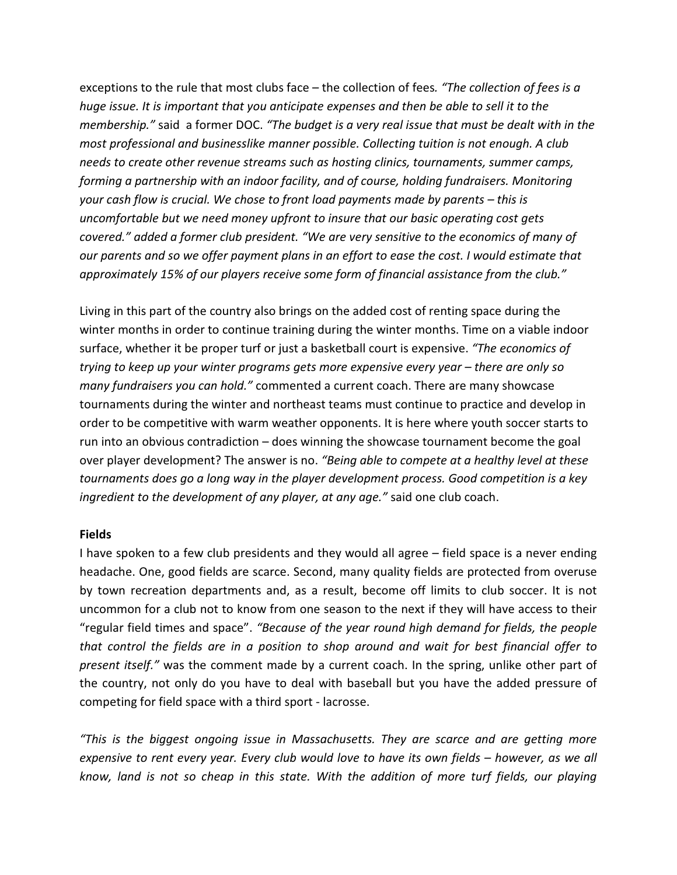exceptions to the rule that most clubs face – the collection of fees. "The collection of fees is a huge issue. It is important that you anticipate expenses and then be able to sell it to the membership." said a former DOC. "The budget is a very real issue that must be dealt with in the most professional and businesslike manner possible. Collecting tuition is not enough. A club needs to create other revenue streams such as hosting clinics, tournaments, summer camps, forming a partnership with an indoor facility, and of course, holding fundraisers. Monitoring your cash flow is crucial. We chose to front load payments made by parents – this is uncomfortable but we need money upfront to insure that our basic operating cost gets covered." added a former club president. "We are very sensitive to the economics of many of our parents and so we offer payment plans in an effort to ease the cost. I would estimate that approximately 15% of our players receive some form of financial assistance from the club."

Living in this part of the country also brings on the added cost of renting space during the winter months in order to continue training during the winter months. Time on a viable indoor surface, whether it be proper turf or just a basketball court is expensive. "The economics of trying to keep up your winter programs gets more expensive every year – there are only so many fundraisers you can hold." commented a current coach. There are many showcase tournaments during the winter and northeast teams must continue to practice and develop in order to be competitive with warm weather opponents. It is here where youth soccer starts to run into an obvious contradiction – does winning the showcase tournament become the goal over player development? The answer is no. "Being able to compete at a healthy level at these tournaments does go a long way in the player development process. Good competition is a key ingredient to the development of any player, at any age." said one club coach.

#### Fields

I have spoken to a few club presidents and they would all agree – field space is a never ending headache. One, good fields are scarce. Second, many quality fields are protected from overuse by town recreation departments and, as a result, become off limits to club soccer. It is not uncommon for a club not to know from one season to the next if they will have access to their "regular field times and space". "Because of the year round high demand for fields, the people that control the fields are in a position to shop around and wait for best financial offer to present itself." was the comment made by a current coach. In the spring, unlike other part of the country, not only do you have to deal with baseball but you have the added pressure of competing for field space with a third sport - lacrosse.

"This is the biggest ongoing issue in Massachusetts. They are scarce and are getting more expensive to rent every year. Every club would love to have its own fields – however, as we all know, land is not so cheap in this state. With the addition of more turf fields, our playing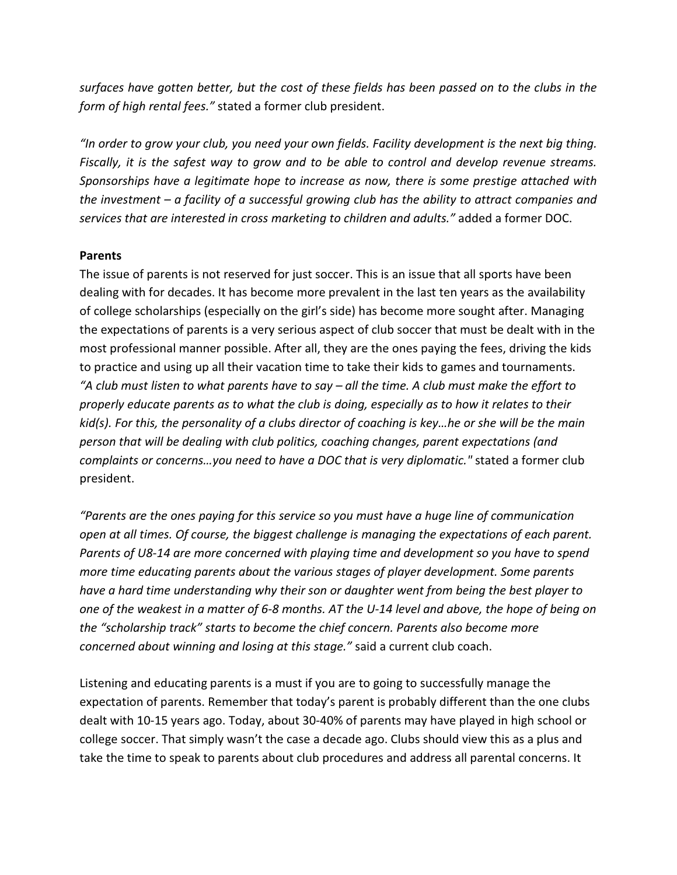surfaces have gotten better, but the cost of these fields has been passed on to the clubs in the form of high rental fees." stated a former club president.

"In order to grow your club, you need your own fields. Facility development is the next big thing. Fiscally, it is the safest way to grow and to be able to control and develop revenue streams. Sponsorships have a legitimate hope to increase as now, there is some prestige attached with the investment – a facility of a successful growing club has the ability to attract companies and services that are interested in cross marketing to children and adults." added a former DOC.

## Parents

The issue of parents is not reserved for just soccer. This is an issue that all sports have been dealing with for decades. It has become more prevalent in the last ten years as the availability of college scholarships (especially on the girl's side) has become more sought after. Managing the expectations of parents is a very serious aspect of club soccer that must be dealt with in the most professional manner possible. After all, they are the ones paying the fees, driving the kids to practice and using up all their vacation time to take their kids to games and tournaments. "A club must listen to what parents have to say  $-$  all the time. A club must make the effort to properly educate parents as to what the club is doing, especially as to how it relates to their kid(s). For this, the personality of a clubs director of coaching is key…he or she will be the main person that will be dealing with club politics, coaching changes, parent expectations (and complaints or concerns…you need to have a DOC that is very diplomatic." stated a former club president.

"Parents are the ones paying for this service so you must have a huge line of communication open at all times. Of course, the biggest challenge is managing the expectations of each parent. Parents of U8-14 are more concerned with playing time and development so you have to spend more time educating parents about the various stages of player development. Some parents have a hard time understanding why their son or daughter went from being the best player to one of the weakest in a matter of 6-8 months. AT the U-14 level and above, the hope of being on the "scholarship track" starts to become the chief concern. Parents also become more concerned about winning and losing at this stage." said a current club coach.

Listening and educating parents is a must if you are to going to successfully manage the expectation of parents. Remember that today's parent is probably different than the one clubs dealt with 10-15 years ago. Today, about 30-40% of parents may have played in high school or college soccer. That simply wasn't the case a decade ago. Clubs should view this as a plus and take the time to speak to parents about club procedures and address all parental concerns. It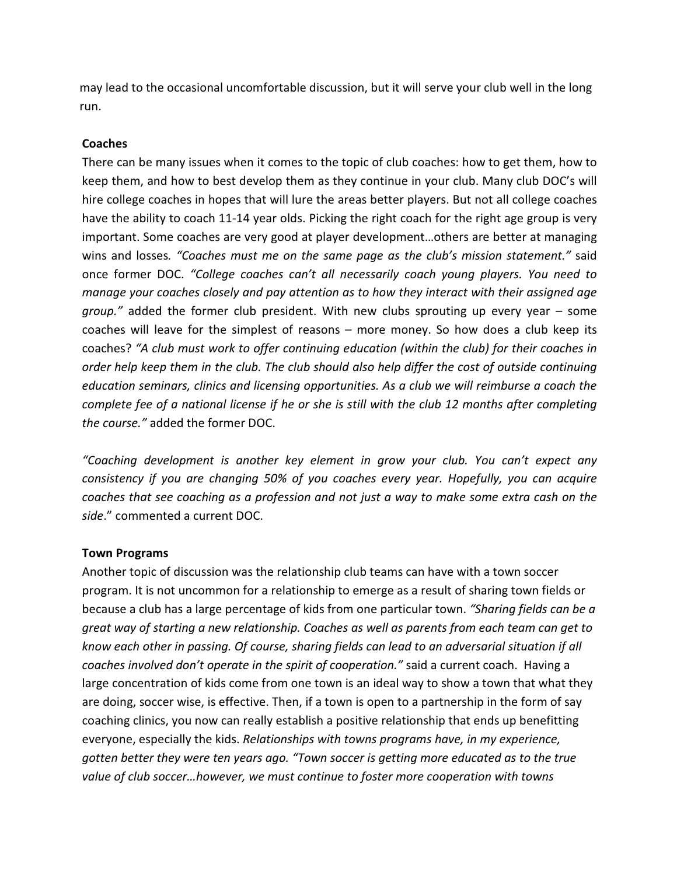may lead to the occasional uncomfortable discussion, but it will serve your club well in the long run.

# Coaches

There can be many issues when it comes to the topic of club coaches: how to get them, how to keep them, and how to best develop them as they continue in your club. Many club DOC's will hire college coaches in hopes that will lure the areas better players. But not all college coaches have the ability to coach 11-14 year olds. Picking the right coach for the right age group is very important. Some coaches are very good at player development…others are better at managing wins and losses. "Coaches must me on the same page as the club's mission statement." said once former DOC. "College coaches can't all necessarily coach young players. You need to manage your coaches closely and pay attention as to how they interact with their assigned age *group.*" added the former club president. With new clubs sprouting up every year – some coaches will leave for the simplest of reasons – more money. So how does a club keep its coaches? "A club must work to offer continuing education (within the club) for their coaches in order help keep them in the club. The club should also help differ the cost of outside continuing education seminars, clinics and licensing opportunities. As a club we will reimburse a coach the complete fee of a national license if he or she is still with the club 12 months after completing the course." added the former DOC.

"Coaching development is another key element in grow your club. You can't expect any consistency if you are changing 50% of you coaches every year. Hopefully, you can acquire coaches that see coaching as a profession and not just a way to make some extra cash on the side." commented a current DOC.

#### Town Programs

Another topic of discussion was the relationship club teams can have with a town soccer program. It is not uncommon for a relationship to emerge as a result of sharing town fields or because a club has a large percentage of kids from one particular town. "Sharing fields can be a great way of starting a new relationship. Coaches as well as parents from each team can get to know each other in passing. Of course, sharing fields can lead to an adversarial situation if all coaches involved don't operate in the spirit of cooperation." said a current coach. Having a large concentration of kids come from one town is an ideal way to show a town that what they are doing, soccer wise, is effective. Then, if a town is open to a partnership in the form of say coaching clinics, you now can really establish a positive relationship that ends up benefitting everyone, especially the kids. Relationships with towns programs have, in my experience, gotten better they were ten years ago. "Town soccer is getting more educated as to the true value of club soccer…however, we must continue to foster more cooperation with towns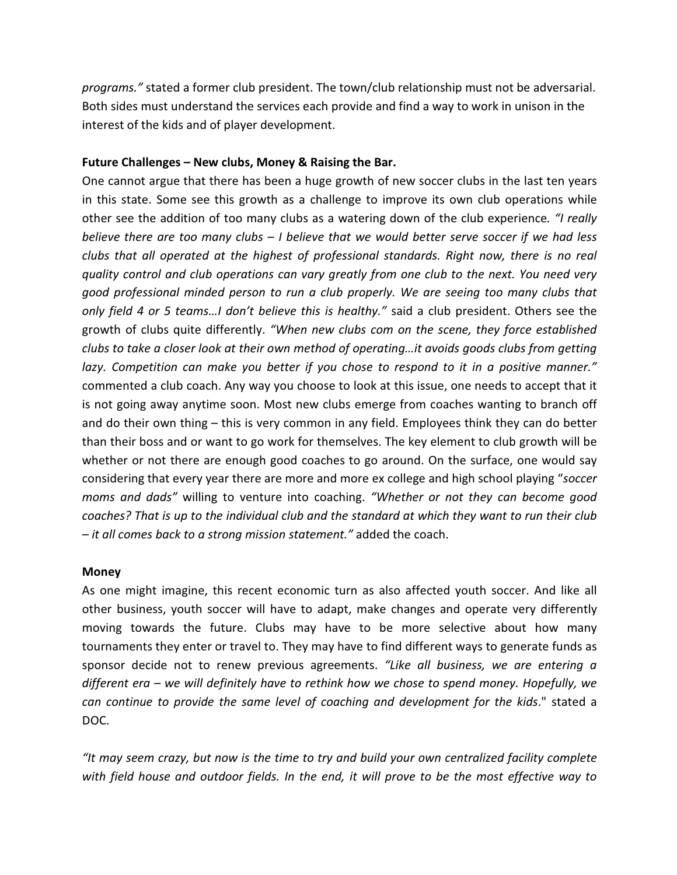programs." stated a former club president. The town/club relationship must not be adversarial. Both sides must understand the services each provide and find a way to work in unison in the interest of the kids and of player development.

#### Future Challenges – New clubs, Money & Raising the Bar.

One cannot argue that there has been a huge growth of new soccer clubs in the last ten years in this state. Some see this growth as a challenge to improve its own club operations while other see the addition of too many clubs as a watering down of the club experience. "I really believe there are too many clubs – I believe that we would better serve soccer if we had less clubs that all operated at the highest of professional standards. Right now, there is no real quality control and club operations can vary greatly from one club to the next. You need very good professional minded person to run a club properly. We are seeing too many clubs that only field 4 or 5 teams…I don't believe this is healthy." said a club president. Others see the growth of clubs quite differently. "When new clubs com on the scene, they force established clubs to take a closer look at their own method of operating…it avoids goods clubs from getting lazy. Competition can make you better if you chose to respond to it in a positive manner." commented a club coach. Any way you choose to look at this issue, one needs to accept that it is not going away anytime soon. Most new clubs emerge from coaches wanting to branch off and do their own thing – this is very common in any field. Employees think they can do better than their boss and or want to go work for themselves. The key element to club growth will be whether or not there are enough good coaches to go around. On the surface, one would say considering that every year there are more and more ex college and high school playing "soccer moms and dads" willing to venture into coaching. "Whether or not they can become good coaches? That is up to the individual club and the standard at which they want to run their club – it all comes back to a strong mission statement." added the coach.

#### Money

As one might imagine, this recent economic turn as also affected youth soccer. And like all other business, youth soccer will have to adapt, make changes and operate very differently moving towards the future. Clubs may have to be more selective about how many tournaments they enter or travel to. They may have to find different ways to generate funds as sponsor decide not to renew previous agreements. "Like all business, we are entering a different era – we will definitely have to rethink how we chose to spend money. Hopefully, we can continue to provide the same level of coaching and development for the kids." stated a DOC.

"It may seem crazy, but now is the time to try and build your own centralized facility complete with field house and outdoor fields. In the end, it will prove to be the most effective way to